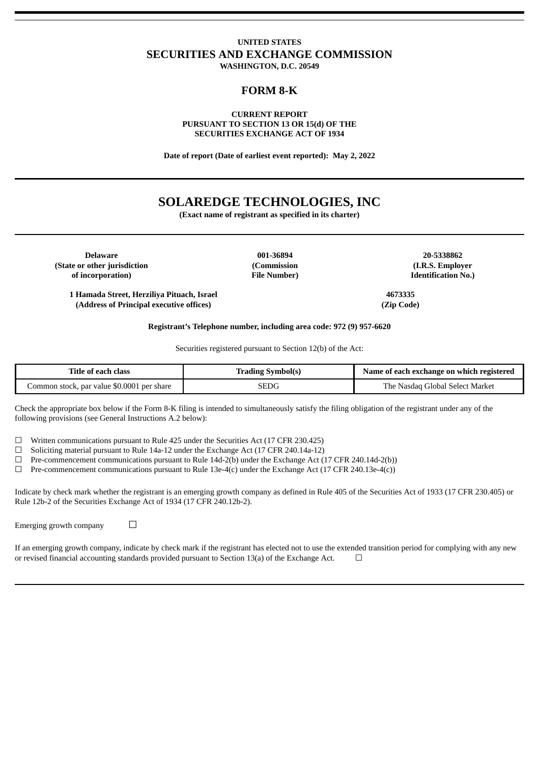# **UNITED STATES SECURITIES AND EXCHANGE COMMISSION WASHINGTON, D.C. 20549**

# **FORM 8-K**

**CURRENT REPORT PURSUANT TO SECTION 13 OR 15(d) OF THE SECURITIES EXCHANGE ACT OF 1934**

**Date of report (Date of earliest event reported): May 2, 2022**

# **SOLAREDGE TECHNOLOGIES, INC**

**(Exact name of registrant as specified in its charter)**

**Delaware 001-36894 20-5338862 (State or other jurisdiction of incorporation)**

**(Commission File Number)**

**(I.R.S. Employer Identification No.)**

**1 Hamada Street, Herziliya Pituach, Israel 4673335 (Address of Principal executive offices) (Zip Code)**

**Registrant's Telephone number, including area code: 972 (9) 957-6620**

Securities registered pursuant to Section 12(b) of the Act:

| Title of each class                        | <b>Trading Symbol(s)</b> | Name of each exchange on which registered |
|--------------------------------------------|--------------------------|-------------------------------------------|
| Common stock, par value \$0.0001 per share | SEDG                     | The Nasdag Global Select Market           |

Check the appropriate box below if the Form 8-K filing is intended to simultaneously satisfy the filing obligation of the registrant under any of the following provisions (see General Instructions A.2 below):

☐ Written communications pursuant to Rule 425 under the Securities Act (17 CFR 230.425)

☐ Soliciting material pursuant to Rule 14a-12 under the Exchange Act (17 CFR 240.14a-12)

 $\Box$  Pre-commencement communications pursuant to Rule 14d-2(b) under the Exchange Act (17 CFR 240.14d-2(b))

☐ Pre-commencement communications pursuant to Rule 13e-4(c) under the Exchange Act (17 CFR 240.13e-4(c))

Indicate by check mark whether the registrant is an emerging growth company as defined in Rule 405 of the Securities Act of 1933 (17 CFR 230.405) or Rule 12b-2 of the Securities Exchange Act of 1934 (17 CFR 240.12b-2).

Emerging growth company  $\Box$ 

If an emerging growth company, indicate by check mark if the registrant has elected not to use the extended transition period for complying with any new or revised financial accounting standards provided pursuant to Section 13(a) of the Exchange Act.  $\Box$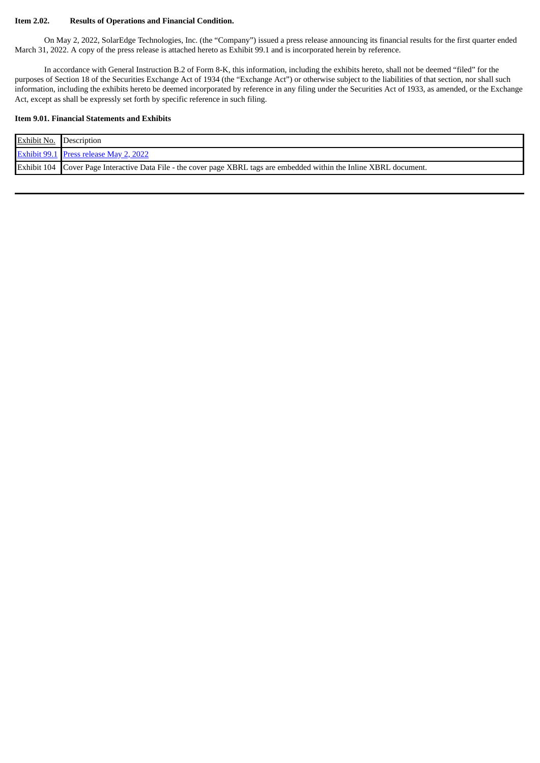# **Item 2.02. Results of Operations and Financial Condition.**

On May 2, 2022, SolarEdge Technologies, Inc. (the "Company") issued a press release announcing its financial results for the first quarter ended March 31, 2022. A copy of the press release is attached hereto as Exhibit 99.1 and is incorporated herein by reference.

In accordance with General Instruction B.2 of Form 8-K, this information, including the exhibits hereto, shall not be deemed "filed" for the purposes of Section 18 of the Securities Exchange Act of 1934 (the "Exchange Act") or otherwise subject to the liabilities of that section, nor shall such information, including the exhibits hereto be deemed incorporated by reference in any filing under the Securities Act of 1933, as amended, or the Exchange Act, except as shall be expressly set forth by specific reference in such filing.

### **Item 9.01. Financial Statements and Exhibits**

| <b>Exhibit No.</b> Description |                                                                                                                       |
|--------------------------------|-----------------------------------------------------------------------------------------------------------------------|
|                                | Exhibit 99.1 Press release May 2, 2022                                                                                |
|                                | Exhibit 104 Cover Page Interactive Data File - the cover page XBRL tags are embedded within the Inline XBRL document. |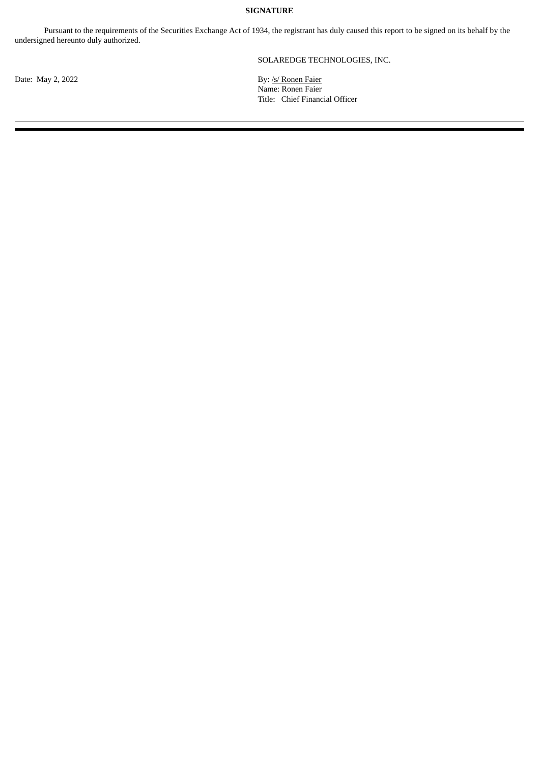# **SIGNATURE**

Pursuant to the requirements of the Securities Exchange Act of 1934, the registrant has duly caused this report to be signed on its behalf by the undersigned hereunto duly authorized.

SOLAREDGE TECHNOLOGIES, INC.

Date: May 2, 2022 By: /s/ Ronen Faier Name: Ronen Faier Title: Chief Financial Officer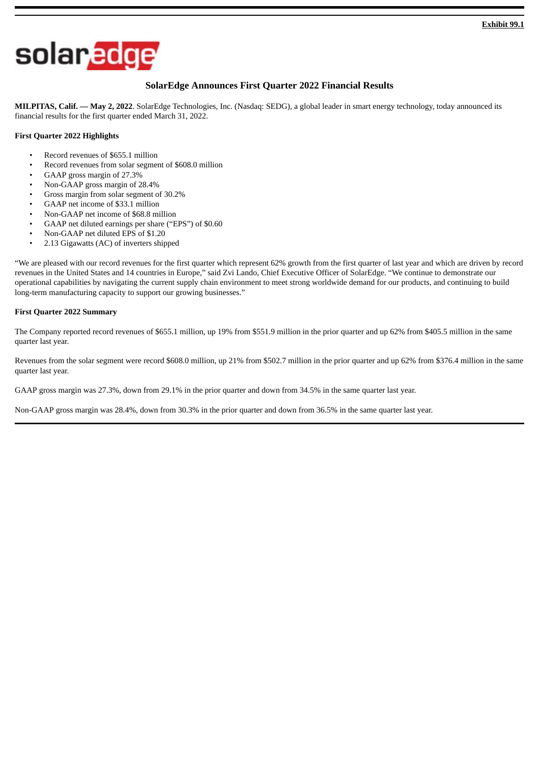<span id="page-3-0"></span>

# **SolarEdge Announces First Quarter 2022 Financial Results**

**MILPITAS, Calif. — May 2, 2022**. SolarEdge Technologies, Inc. (Nasdaq: SEDG), a global leader in smart energy technology, today announced its financial results for the first quarter ended March 31, 2022.

## **First Quarter 2022 Highlights**

- Record revenues of \$655.1 million
- Record revenues from solar segment of \$608.0 million
- GAAP gross margin of 27.3%
- Non-GAAP gross margin of 28.4%
- Gross margin from solar segment of 30.2%
- GAAP net income of \$33.1 million
- Non-GAAP net income of \$68.8 million
- GAAP net diluted earnings per share ("EPS") of \$0.60
- Non-GAAP net diluted EPS of \$1.20
- 2.13 Gigawatts (AC) of inverters shipped

"We are pleased with our record revenues for the first quarter which represent 62% growth from the first quarter of last year and which are driven by record revenues in the United States and 14 countries in Europe," said Zvi Lando, Chief Executive Officer of SolarEdge. "We continue to demonstrate our operational capabilities by navigating the current supply chain environment to meet strong worldwide demand for our products, and continuing to build long-term manufacturing capacity to support our growing businesses."

### **First Quarter 2022 Summary**

The Company reported record revenues of \$655.1 million, up 19% from \$551.9 million in the prior quarter and up 62% from \$405.5 million in the same quarter last year.

Revenues from the solar segment were record \$608.0 million, up 21% from \$502.7 million in the prior quarter and up 62% from \$376.4 million in the same quarter last year.

GAAP gross margin was 27.3%, down from 29.1% in the prior quarter and down from 34.5% in the same quarter last year.

Non-GAAP gross margin was 28.4%, down from 30.3% in the prior quarter and down from 36.5% in the same quarter last year.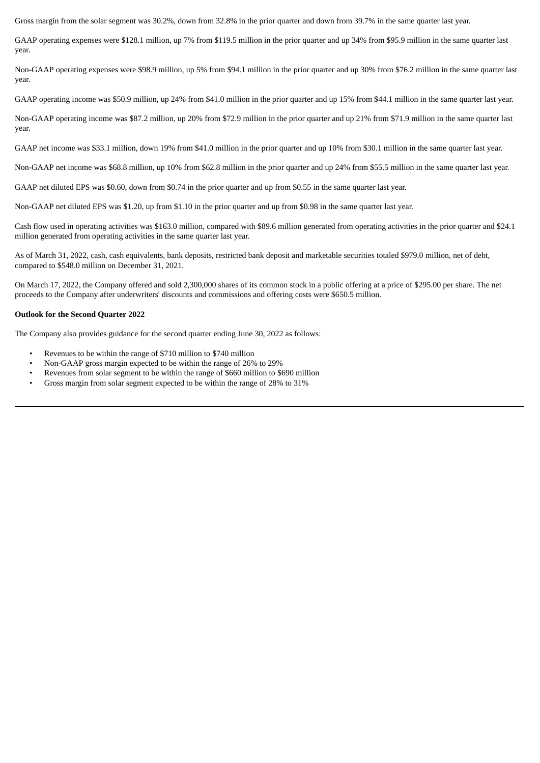Gross margin from the solar segment was 30.2%, down from 32.8% in the prior quarter and down from 39.7% in the same quarter last year.

GAAP operating expenses were \$128.1 million, up 7% from \$119.5 million in the prior quarter and up 34% from \$95.9 million in the same quarter last year.

Non-GAAP operating expenses were \$98.9 million, up 5% from \$94.1 million in the prior quarter and up 30% from \$76.2 million in the same quarter last year.

GAAP operating income was \$50.9 million, up 24% from \$41.0 million in the prior quarter and up 15% from \$44.1 million in the same quarter last year.

Non-GAAP operating income was \$87.2 million, up 20% from \$72.9 million in the prior quarter and up 21% from \$71.9 million in the same quarter last year.

GAAP net income was \$33.1 million, down 19% from \$41.0 million in the prior quarter and up 10% from \$30.1 million in the same quarter last year.

Non-GAAP net income was \$68.8 million, up 10% from \$62.8 million in the prior quarter and up 24% from \$55.5 million in the same quarter last year.

GAAP net diluted EPS was \$0.60, down from \$0.74 in the prior quarter and up from \$0.55 in the same quarter last year.

Non-GAAP net diluted EPS was \$1.20, up from \$1.10 in the prior quarter and up from \$0.98 in the same quarter last year.

Cash flow used in operating activities was \$163.0 million, compared with \$89.6 million generated from operating activities in the prior quarter and \$24.1 million generated from operating activities in the same quarter last year.

As of March 31, 2022, cash, cash equivalents, bank deposits, restricted bank deposit and marketable securities totaled \$979.0 million, net of debt, compared to \$548.0 million on December 31, 2021.

On March 17, 2022, the Company offered and sold 2,300,000 shares of its common stock in a public offering at a price of \$295.00 per share. The net proceeds to the Company after underwriters' discounts and commissions and offering costs were \$650.5 million.

### **Outlook for the Second Quarter 2022**

The Company also provides guidance for the second quarter ending June 30, 2022 as follows:

- Revenues to be within the range of \$710 million to \$740 million
- Non-GAAP gross margin expected to be within the range of 26% to 29%
- Revenues from solar segment to be within the range of \$660 million to \$690 million
- Gross margin from solar segment expected to be within the range of 28% to 31%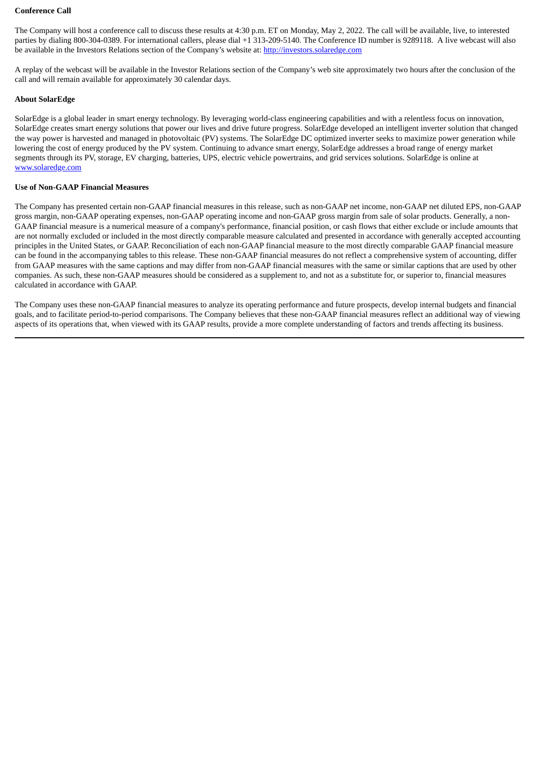## **Conference Call**

The Company will host a conference call to discuss these results at 4:30 p.m. ET on Monday, May 2, 2022. The call will be available, live, to interested parties by dialing 800-304-0389. For international callers, please dial +1 313-209-5140. The Conference ID number is 9289118. A live webcast will also be available in the Investors Relations section of the Company's website at: http://investors.solaredge.com

A replay of the webcast will be available in the Investor Relations section of the Company's web site approximately two hours after the conclusion of the call and will remain available for approximately 30 calendar days.

## **About SolarEdge**

SolarEdge is a global leader in smart energy technology. By leveraging world-class engineering capabilities and with a relentless focus on innovation, SolarEdge creates smart energy solutions that power our lives and drive future progress. SolarEdge developed an intelligent inverter solution that changed the way power is harvested and managed in photovoltaic (PV) systems. The SolarEdge DC optimized inverter seeks to maximize power generation while lowering the cost of energy produced by the PV system. Continuing to advance smart energy, SolarEdge addresses a broad range of energy market segments through its PV, storage, EV charging, batteries, UPS, electric vehicle powertrains, and grid services solutions. SolarEdge is online at www.solaredge.com

#### **Use of Non-GAAP Financial Measures**

The Company has presented certain non-GAAP financial measures in this release, such as non-GAAP net income, non-GAAP net diluted EPS, non-GAAP gross margin, non-GAAP operating expenses, non-GAAP operating income and non-GAAP gross margin from sale of solar products. Generally, a non-GAAP financial measure is a numerical measure of a company's performance, financial position, or cash flows that either exclude or include amounts that are not normally excluded or included in the most directly comparable measure calculated and presented in accordance with generally accepted accounting principles in the United States, or GAAP. Reconciliation of each non-GAAP financial measure to the most directly comparable GAAP financial measure can be found in the accompanying tables to this release. These non-GAAP financial measures do not reflect a comprehensive system of accounting, differ from GAAP measures with the same captions and may differ from non-GAAP financial measures with the same or similar captions that are used by other companies. As such, these non-GAAP measures should be considered as a supplement to, and not as a substitute for, or superior to, financial measures calculated in accordance with GAAP.

The Company uses these non-GAAP financial measures to analyze its operating performance and future prospects, develop internal budgets and financial goals, and to facilitate period-to-period comparisons. The Company believes that these non-GAAP financial measures reflect an additional way of viewing aspects of its operations that, when viewed with its GAAP results, provide a more complete understanding of factors and trends affecting its business.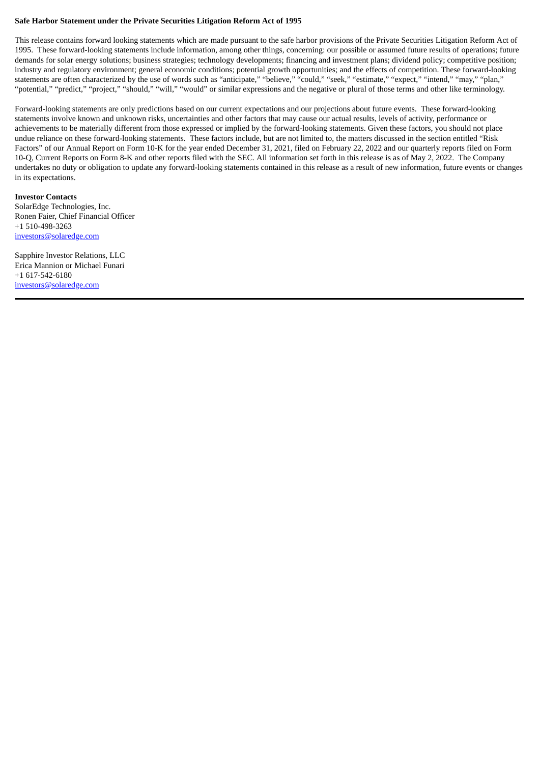### **Safe Harbor Statement under the Private Securities Litigation Reform Act of 1995**

This release contains forward looking statements which are made pursuant to the safe harbor provisions of the Private Securities Litigation Reform Act of 1995. These forward-looking statements include information, among other things, concerning: our possible or assumed future results of operations; future demands for solar energy solutions; business strategies; technology developments; financing and investment plans; dividend policy; competitive position; industry and regulatory environment; general economic conditions; potential growth opportunities; and the effects of competition. These forward-looking statements are often characterized by the use of words such as "anticipate," "believe," "could," "seek," "estimate," "expect," "intend," "may," "plan," "potential," "predict," "project," "should," "will," "would" or similar expressions and the negative or plural of those terms and other like terminology.

Forward-looking statements are only predictions based on our current expectations and our projections about future events. These forward-looking statements involve known and unknown risks, uncertainties and other factors that may cause our actual results, levels of activity, performance or achievements to be materially different from those expressed or implied by the forward-looking statements. Given these factors, you should not place undue reliance on these forward-looking statements. These factors include, but are not limited to, the matters discussed in the section entitled "Risk Factors" of our Annual Report on Form 10-K for the year ended December 31, 2021, filed on February 22, 2022 and our quarterly reports filed on Form 10-Q, Current Reports on Form 8-K and other reports filed with the SEC. All information set forth in this release is as of May 2, 2022. The Company undertakes no duty or obligation to update any forward-looking statements contained in this release as a result of new information, future events or changes in its expectations.

### **Investor Contacts**

SolarEdge Technologies, Inc. Ronen Faier, Chief Financial Officer +1 510-498-3263 investors@solaredge.com

Sapphire Investor Relations, LLC Erica Mannion or Michael Funari +1 617-542-6180 investors@solaredge.com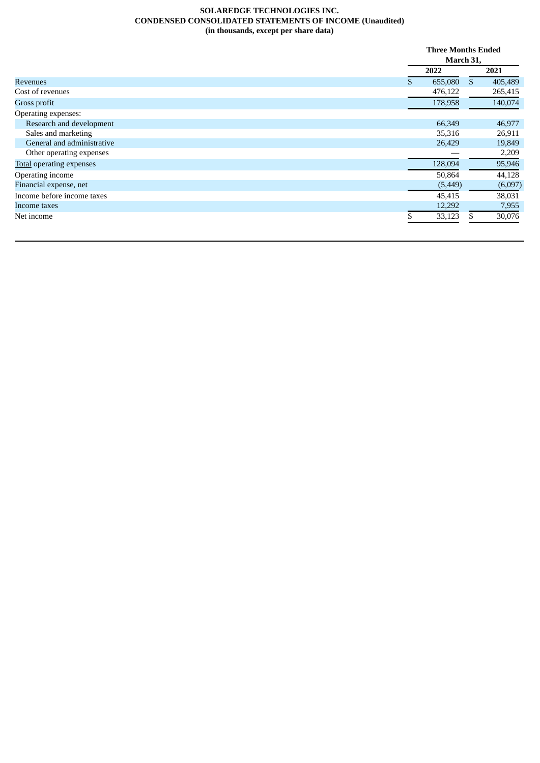### **SOLAREDGE TECHNOLOGIES INC. CONDENSED CONSOLIDATED STATEMENTS OF INCOME (Unaudited) (in thousands, except per share data)**

|                                 |    | <b>Three Months Ended</b><br>March 31, |                          |  |
|---------------------------------|----|----------------------------------------|--------------------------|--|
|                                 |    | 2022                                   | 2021                     |  |
| <b>Revenues</b>                 | S. | 655,080                                | 405,489<br><sup>\$</sup> |  |
| Cost of revenues                |    | 476,122                                | 265,415                  |  |
| Gross profit                    |    | 178,958                                | 140,074                  |  |
| Operating expenses:             |    |                                        |                          |  |
| Research and development        |    | 66,349                                 | 46,977                   |  |
| Sales and marketing             |    | 35,316                                 | 26,911                   |  |
| General and administrative      |    | 26,429                                 | 19,849                   |  |
| Other operating expenses        |    |                                        | 2,209                    |  |
| <b>Total operating expenses</b> |    | 128,094                                | 95,946                   |  |
| Operating income                |    | 50,864                                 | 44,128                   |  |
| Financial expense, net          |    | (5, 449)                               | (6,097)                  |  |
| Income before income taxes      |    | 45,415                                 | 38,031                   |  |
| Income taxes                    |    | 12,292                                 | 7,955                    |  |
| Net income                      |    | 33,123                                 | 30,076                   |  |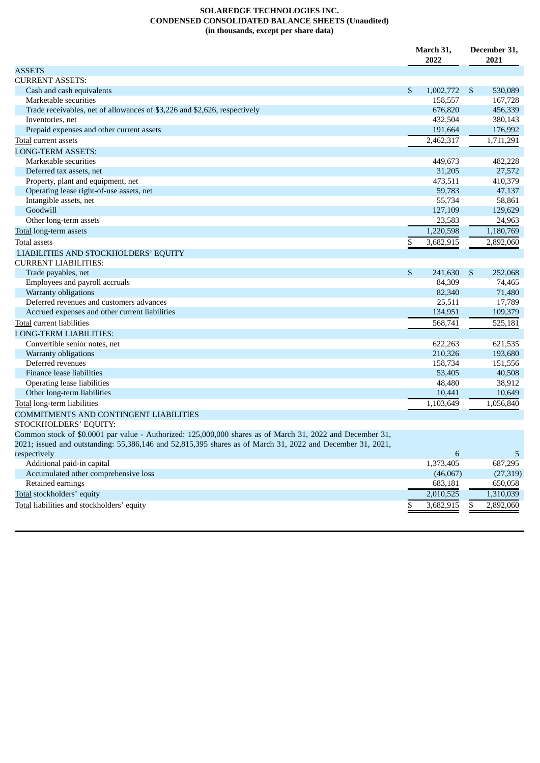### **SOLAREDGE TECHNOLOGIES INC. CONDENSED CONSOLIDATED BALANCE SHEETS (Unaudited) (in thousands, except per share data)**

|                                                                                                            |                 | March 31,<br>2022 |              | December 31,<br>2021 |
|------------------------------------------------------------------------------------------------------------|-----------------|-------------------|--------------|----------------------|
| <b>ASSETS</b>                                                                                              |                 |                   |              |                      |
| <b>CURRENT ASSETS:</b>                                                                                     |                 |                   |              |                      |
| Cash and cash equivalents                                                                                  | \$              | 1,002,772         | $\sqrt{3}$   | 530,089              |
| Marketable securities                                                                                      |                 | 158,557           |              | 167,728              |
| Trade receivables, net of allowances of \$3,226 and \$2,626, respectively                                  |                 | 676,820           |              | 456,339              |
| Inventories, net                                                                                           |                 | 432,504           |              | 380,143              |
| Prepaid expenses and other current assets                                                                  |                 | 191,664           |              | 176,992              |
| <b>Total current assets</b>                                                                                |                 | 2,462,317         |              | 1,711,291            |
| <b>LONG-TERM ASSETS:</b>                                                                                   |                 |                   |              |                      |
| Marketable securities                                                                                      |                 | 449,673           |              | 482,228              |
| Deferred tax assets, net                                                                                   |                 | 31,205            |              | 27,572               |
| Property, plant and equipment, net                                                                         |                 | 473,511           |              | 410,379              |
| Operating lease right-of-use assets, net                                                                   |                 | 59,783            |              | 47,137               |
| Intangible assets, net                                                                                     |                 | 55,734            |              | 58,861               |
| Goodwill                                                                                                   |                 | 127,109           |              | 129,629              |
| Other long-term assets                                                                                     |                 | 23,583            |              | 24,963               |
| <b>Total long-term assets</b>                                                                              |                 | 1,220,598         |              | 1,180,769            |
| Total assets                                                                                               | $\overline{\$}$ | 3,682,915         |              | 2,892,060            |
| LIABILITIES AND STOCKHOLDERS' EQUITY                                                                       |                 |                   |              |                      |
| <b>CURRENT LIABILITIES:</b>                                                                                |                 |                   |              |                      |
| Trade payables, net                                                                                        | \$              | 241,630           | $\mathbb{S}$ | 252,068              |
| Employees and payroll accruals                                                                             |                 | 84,309            |              | 74,465               |
| Warranty obligations                                                                                       |                 | 82,340            |              | 71,480               |
| Deferred revenues and customers advances                                                                   |                 | 25,511            |              | 17,789               |
| Accrued expenses and other current liabilities                                                             |                 | 134,951           |              | 109,379              |
| <b>Total current liabilities</b>                                                                           |                 | 568,741           |              | 525,181              |
| <b>LONG-TERM LIABILITIES:</b>                                                                              |                 |                   |              |                      |
| Convertible senior notes, net                                                                              |                 | 622,263           |              | 621,535              |
| Warranty obligations                                                                                       |                 | 210,326           |              | 193,680              |
| Deferred revenues                                                                                          |                 | 158,734           |              | 151,556              |
| Finance lease liabilities                                                                                  |                 | 53,405            |              | 40,508               |
| Operating lease liabilities                                                                                |                 | 48,480            |              | 38,912               |
| Other long-term liabilities                                                                                |                 | 10,441            |              | 10,649               |
| Total long-term liabilities                                                                                |                 | 1,103,649         |              | 1,056,840            |
| <b>COMMITMENTS AND CONTINGENT LIABILITIES</b>                                                              |                 |                   |              |                      |
| STOCKHOLDERS' EQUITY:                                                                                      |                 |                   |              |                      |
| Common stock of \$0.0001 par value - Authorized: 125,000,000 shares as of March 31, 2022 and December 31,  |                 |                   |              |                      |
| 2021; issued and outstanding: 55,386,146 and 52,815,395 shares as of March 31, 2022 and December 31, 2021, |                 |                   |              |                      |
| respectively                                                                                               |                 | 6                 |              | 5                    |
| Additional paid-in capital                                                                                 |                 | 1,373,405         |              | 687,295              |
| Accumulated other comprehensive loss                                                                       |                 | (46,067)          |              | (27, 319)            |
| Retained earnings                                                                                          |                 | 683,181           |              | 650,058              |
| Total stockholders' equity                                                                                 |                 | 2,010,525         |              | 1,310,039            |
| Total liabilities and stockholders' equity                                                                 | \$              | 3,682,915         | \$           | 2,892,060            |
|                                                                                                            |                 |                   |              |                      |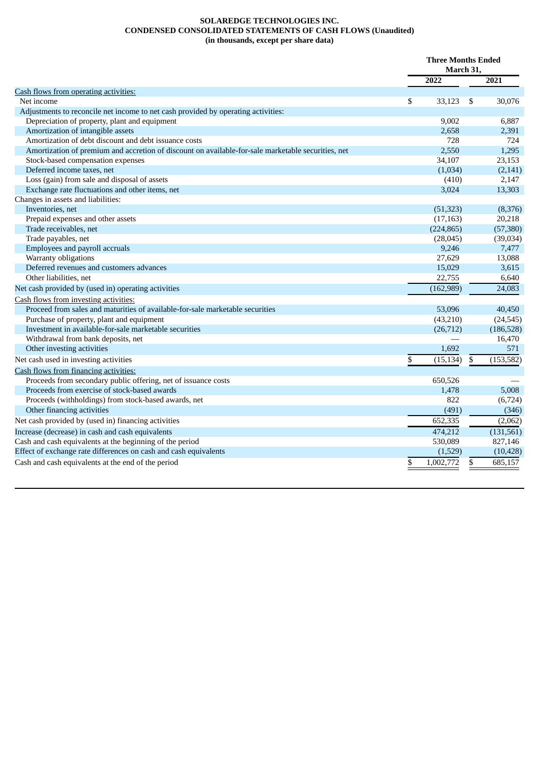#### **SOLAREDGE TECHNOLOGIES INC. CONDENSED CONSOLIDATED STATEMENTS OF CASH FLOWS (Unaudited) (in thousands, except per share data)**

|                                                                                                    | <b>Three Months Ended</b><br>March 31, |            |    |            |
|----------------------------------------------------------------------------------------------------|----------------------------------------|------------|----|------------|
|                                                                                                    |                                        | 2022       |    | 2021       |
| Cash flows from operating activities:                                                              |                                        |            |    |            |
| Net income                                                                                         | \$                                     | 33,123     | \$ | 30,076     |
| Adjustments to reconcile net income to net cash provided by operating activities:                  |                                        |            |    |            |
| Depreciation of property, plant and equipment                                                      |                                        | 9,002      |    | 6,887      |
| Amortization of intangible assets                                                                  |                                        | 2,658      |    | 2,391      |
| Amortization of debt discount and debt issuance costs                                              |                                        | 728        |    | 724        |
| Amortization of premium and accretion of discount on available-for-sale marketable securities, net |                                        | 2,550      |    | 1,295      |
| Stock-based compensation expenses                                                                  |                                        | 34,107     |    | 23,153     |
| Deferred income taxes, net                                                                         |                                        | (1,034)    |    | (2, 141)   |
| Loss (gain) from sale and disposal of assets                                                       |                                        | (410)      |    | 2,147      |
| Exchange rate fluctuations and other items, net                                                    |                                        | 3,024      |    | 13,303     |
| Changes in assets and liabilities:                                                                 |                                        |            |    |            |
| Inventories, net                                                                                   |                                        | (51, 323)  |    | (8,376)    |
| Prepaid expenses and other assets                                                                  |                                        | (17, 163)  |    | 20,218     |
| Trade receivables, net                                                                             |                                        | (224, 865) |    | (57, 380)  |
| Trade payables, net                                                                                |                                        | (28, 045)  |    | (39,034)   |
| Employees and payroll accruals                                                                     |                                        | 9,246      |    | 7,477      |
| Warranty obligations                                                                               |                                        | 27,629     |    | 13,088     |
| Deferred revenues and customers advances                                                           |                                        | 15,029     |    | 3,615      |
| Other liabilities, net                                                                             |                                        | 22,755     |    | 6,640      |
| Net cash provided by (used in) operating activities                                                |                                        | (162, 989) |    | 24,083     |
| Cash flows from investing activities:                                                              |                                        |            |    |            |
| Proceed from sales and maturities of available-for-sale marketable securities                      |                                        | 53,096     |    | 40,450     |
| Purchase of property, plant and equipment                                                          |                                        | (43, 210)  |    | (24, 545)  |
| Investment in available-for-sale marketable securities                                             |                                        | (26, 712)  |    | (186, 528) |
| Withdrawal from bank deposits, net                                                                 |                                        |            |    | 16,470     |
| Other investing activities                                                                         |                                        | 1,692      |    | 571        |
| Net cash used in investing activities                                                              | \$                                     | (15, 134)  | \$ | (153, 582) |
| Cash flows from financing activities:                                                              |                                        |            |    |            |
| Proceeds from secondary public offering, net of issuance costs                                     |                                        | 650,526    |    |            |
| Proceeds from exercise of stock-based awards                                                       |                                        | 1,478      |    | 5,008      |
| Proceeds (withholdings) from stock-based awards, net                                               |                                        | 822        |    | (6, 724)   |
| Other financing activities                                                                         |                                        | (491)      |    | (346)      |
| Net cash provided by (used in) financing activities                                                |                                        | 652,335    |    | (2,062)    |
| Increase (decrease) in cash and cash equivalents                                                   |                                        | 474,212    |    | (131, 561) |
| Cash and cash equivalents at the beginning of the period                                           |                                        | 530,089    |    | 827,146    |
| Effect of exchange rate differences on cash and cash equivalents                                   |                                        | (1,529)    |    | (10, 428)  |
| Cash and cash equivalents at the end of the period                                                 | \$                                     | 1,002,772  | \$ | 685,157    |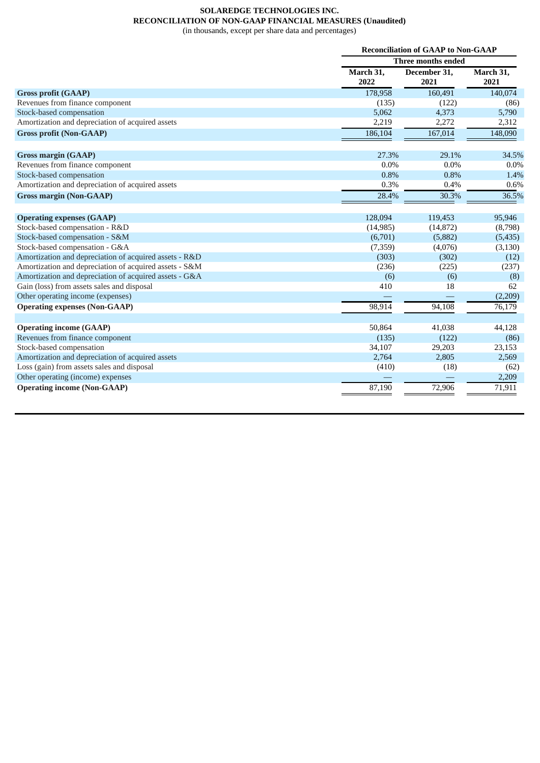# **SOLAREDGE TECHNOLOGIES INC. RECONCILIATION OF NON-GAAP FINANCIAL MEASURES (Unaudited)**

(in thousands, except per share data and percentages)

|                                                        |                   | <b>Reconciliation of GAAP to Non-GAAP</b><br>Three months ended |                   |  |  |
|--------------------------------------------------------|-------------------|-----------------------------------------------------------------|-------------------|--|--|
|                                                        |                   |                                                                 |                   |  |  |
|                                                        | March 31,<br>2022 | December 31,<br>2021                                            | March 31,<br>2021 |  |  |
| <b>Gross profit (GAAP)</b>                             | 178,958           | 160,491                                                         | 140,074           |  |  |
| Revenues from finance component                        | (135)             | (122)                                                           | (86)              |  |  |
| Stock-based compensation                               | 5,062             | 4,373                                                           | 5,790             |  |  |
| Amortization and depreciation of acquired assets       | 2,219             | 2,272                                                           | 2,312             |  |  |
| <b>Gross profit (Non-GAAP)</b>                         | 186,104           | 167,014                                                         | 148,090           |  |  |
| <b>Gross margin (GAAP)</b>                             | 27.3%             | 29.1%                                                           | 34.5%             |  |  |
| Revenues from finance component                        | 0.0%              | $0.0\%$                                                         | $0.0\%$           |  |  |
| Stock-based compensation                               | 0.8%              | 0.8%                                                            | 1.4%              |  |  |
| Amortization and depreciation of acquired assets       | 0.3%              | 0.4%                                                            | 0.6%              |  |  |
| <b>Gross margin (Non-GAAP)</b>                         | 28.4%             | 30.3%                                                           | 36.5%             |  |  |
| <b>Operating expenses (GAAP)</b>                       | 128,094           | 119,453                                                         | 95,946            |  |  |
| Stock-based compensation - R&D                         | (14,985)          | (14, 872)                                                       | (8,798)           |  |  |
| Stock-based compensation - S&M                         | (6,701)           | (5,882)                                                         | (5, 435)          |  |  |
| Stock-based compensation - G&A                         | (7, 359)          | (4,076)                                                         | (3, 130)          |  |  |
| Amortization and depreciation of acquired assets - R&D | (303)             | (302)                                                           | (12)              |  |  |
| Amortization and depreciation of acquired assets - S&M | (236)             | (225)                                                           | (237)             |  |  |
| Amortization and depreciation of acquired assets - G&A | (6)               | (6)                                                             | (8)               |  |  |
| Gain (loss) from assets sales and disposal             | 410               | 18                                                              | 62                |  |  |
| Other operating income (expenses)                      |                   |                                                                 | (2,209)           |  |  |
| <b>Operating expenses (Non-GAAP)</b>                   | 98,914            | 94,108                                                          | 76,179            |  |  |
| <b>Operating income (GAAP)</b>                         | 50,864            | 41,038                                                          | 44,128            |  |  |
| Revenues from finance component                        | (135)             | (122)                                                           | (86)              |  |  |
| Stock-based compensation                               | 34,107            | 29,203                                                          | 23,153            |  |  |
| Amortization and depreciation of acquired assets       | 2,764             | 2,805                                                           | 2,569             |  |  |
| Loss (gain) from assets sales and disposal             | (410)             | (18)                                                            | (62)              |  |  |
| Other operating (income) expenses                      |                   |                                                                 | 2,209             |  |  |
| <b>Operating income (Non-GAAP)</b>                     | 87,190            | 72,906                                                          | 71,911            |  |  |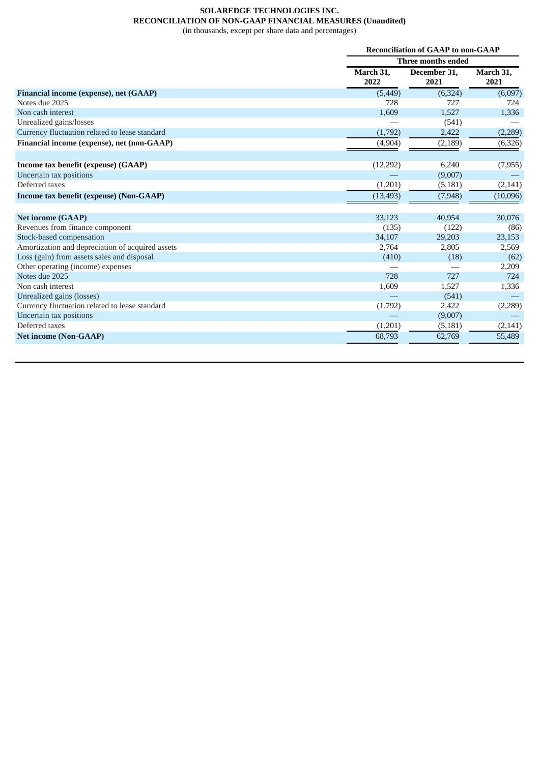# **SOLAREDGE TECHNOLOGIES INC. RECONCILIATION OF NON-GAAP FINANCIAL MEASURES (Unaudited)**

(in thousands, except per share data and percentages)

|                                                  | <b>Reconciliation of GAAP to non-GAAP</b> |                      |                   |
|--------------------------------------------------|-------------------------------------------|----------------------|-------------------|
|                                                  | Three months ended                        |                      |                   |
|                                                  | March 31,<br>2022                         | December 31,<br>2021 | March 31,<br>2021 |
| Financial income (expense), net (GAAP)           | (5, 449)                                  | (6, 324)             | (6,097)           |
| Notes due 2025                                   | 728                                       | 727                  | 724               |
| Non cash interest                                | 1,609                                     | 1,527                | 1,336             |
| Unrealized gains/losses                          |                                           | (541)                |                   |
| Currency fluctuation related to lease standard   | (1,792)                                   | 2,422                | (2,289)           |
| Financial income (expense), net (non-GAAP)       | (4,904)                                   | (2, 189)             | (6,326)           |
| Income tax benefit (expense) (GAAP)              | (12,292)                                  | 6,240                | (7,955)           |
| Uncertain tax positions                          |                                           | (9,007)              |                   |
| Deferred taxes                                   | (1,201)                                   | (5, 181)             | (2, 141)          |
| Income tax benefit (expense) (Non-GAAP)          | (13, 493)                                 | (7,948)              | (10,096)          |
|                                                  |                                           |                      |                   |
| <b>Net income (GAAP)</b>                         | 33,123                                    | 40,954               | 30,076            |
| Revenues from finance component                  | (135)                                     | (122)                | (86)              |
| Stock-based compensation                         | 34,107                                    | 29,203               | 23,153            |
| Amortization and depreciation of acquired assets | 2,764                                     | 2,805                | 2,569             |
| Loss (gain) from assets sales and disposal       | (410)                                     | (18)                 | (62)              |
| Other operating (income) expenses                |                                           |                      | 2,209             |
| Notes due 2025                                   | 728                                       | 727                  | 724               |
| Non cash interest                                | 1,609                                     | 1,527                | 1,336             |
| Unrealized gains (losses)                        |                                           | (541)                |                   |
| Currency fluctuation related to lease standard   | (1,792)                                   | 2,422                | (2,289)           |
| Uncertain tax positions                          |                                           | (9,007)              |                   |
| Deferred taxes                                   | (1,201)                                   | (5, 181)             | (2, 141)          |
| <b>Net income (Non-GAAP)</b>                     | 68,793                                    | 62,769               | 55,489            |